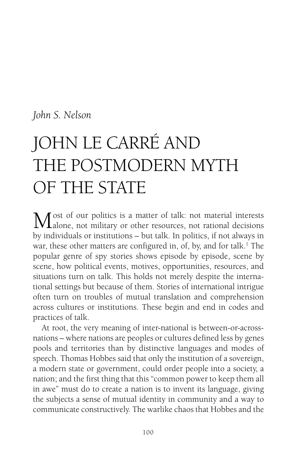#### *John S. Nelson*

# JOHN LE CARRÉ AND THE POSTMODERN MYTH OF THE STATE

Most of our politics is a matter of talk: not material interests<br>alone, not military or other resources, not rational decisions by individuals or institutions – but talk. In politics, if not always in war, these other matters are configured in, of, by, and for talk.<sup>1</sup> The popular genre of spy stories shows episode by episode, scene by scene, how political events, motives, opportunities, resources, and situations turn on talk. This holds not merely despite the international settings but because of them. Stories of international intrigue often turn on troubles of mutual translation and comprehension across cultures or institutions. These begin and end in codes and practices of talk.

At root, the very meaning of inter-national is between-or-acrossnations – where nations are peoples or cultures defined less by genes pools and territories than by distinctive languages and modes of speech. Thomas Hobbes said that only the institution of a sovereign, a modern state or government, could order people into a society, a nation; and the first thing that this "common power to keep them all in awe" must do to create a nation is to invent its language, giving the subjects a sense of mutual identity in community and a way to communicate constructively. The warlike chaos that Hobbes and the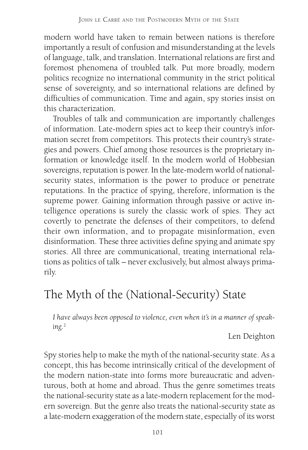modern world have taken to remain between nations is therefore importantly a result of confusion and misunderstanding at the levels of language, talk, and translation. International relations are first and foremost phenomena of troubled talk. Put more broadly, modern politics recognize no international community in the strict political sense of sovereignty, and so international relations are defined by difficulties of communication. Time and again, spy stories insist on this characterization.

Troubles of talk and communication are importantly challenges of information. Late-modern spies act to keep their country's information secret from competitors. This protects their country's strategies and powers. Chief among those resources is the proprietary information or knowledge itself. In the modern world of Hobbesian sovereigns, reputation is power. In the late-modern world of nationalsecurity states, information is the power to produce or penetrate reputations. In the practice of spying, therefore, information is the supreme power. Gaining information through passive or active intelligence operations is surely the classic work of spies. They act covertly to penetrate the defenses of their competitors, to defend their own information, and to propagate misinformation, even disinformation. These three activities define spying and animate spy stories. All three are communicational, treating international relations as politics of talk – never exclusively, but almost always primarily.

# The Myth of the (National-Security) State

*I have always been opposed to violence, even when it's in a manner of speaking.*<sup>2</sup>

Len Deighton

Spy stories help to make the myth of the national-security state. As a concept, this has become intrinsically critical of the development of the modern nation-state into forms more bureaucratic and adventurous, both at home and abroad. Thus the genre sometimes treats the national-security state as a late-modern replacement for the modern sovereign. But the genre also treats the national-security state as a late-modern exaggeration of the modern state, especially of its worst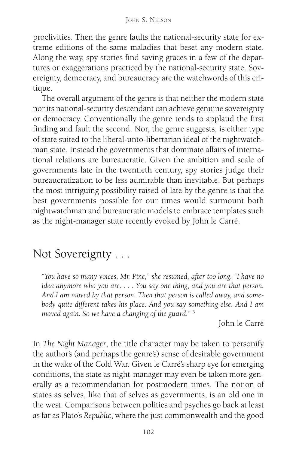proclivities. Then the genre faults the national-security state for extreme editions of the same maladies that beset any modern state. Along the way, spy stories find saving graces in a few of the departures or exaggerations practiced by the national-security state. Sovereignty, democracy, and bureaucracy are the watchwords of this critique.

The overall argument of the genre is that neither the modern state nor its national-security descendant can achieve genuine sovereignty or democracy. Conventionally the genre tends to applaud the first finding and fault the second. Nor, the genre suggests, is either type of state suited to the liberal-unto-libertarian ideal of the nightwatchman state. Instead the governments that dominate affairs of international relations are bureaucratic. Given the ambition and scale of governments late in the twentieth century, spy stories judge their bureaucratization to be less admirable than inevitable. But perhaps the most intriguing possibility raised of late by the genre is that the best governments possible for our times would surmount both nightwatchman and bureaucratic models to embrace templates such as the night-manager state recently evoked by John le Carré.

# Not Sovereignty . . .

*"You have so many voices, Mr. Pine,*" *she resumed, after too long. "I have no idea anymore who you are. . . . You say one thing, and you are that person. And I am moved by that person. Then that person is called away, and somebody quite different takes his place. And you say something else. And I am moved again. So we have a changing of the guard.*" <sup>3</sup>

John le Carré

In *The Night Manager*, the title character may be taken to personify the author's (and perhaps the genre's) sense of desirable government in the wake of the Cold War. Given le Carré's sharp eye for emerging conditions, the state as night-manager may even be taken more generally as a recommendation for postmodern times. The notion of states as selves, like that of selves as governments, is an old one in the west. Comparisons between polities and psyches go back at least as far as Plato's *Republic*, where the just commonwealth and the good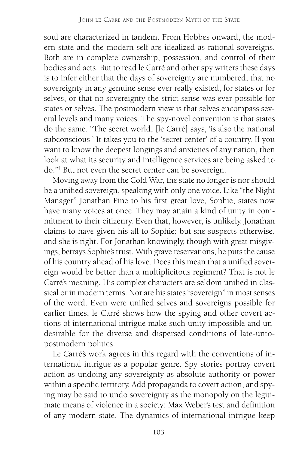soul are characterized in tandem. From Hobbes onward, the modern state and the modern self are idealized as rational sovereigns. Both are in complete ownership, possession, and control of their bodies and acts. But to read le Carré and other spy writers these days is to infer either that the days of sovereignty are numbered, that no sovereignty in any genuine sense ever really existed, for states or for selves, or that no sovereignty the strict sense was ever possible for states or selves. The postmodern view is that selves encompass several levels and many voices. The spy-novel convention is that states do the same. "The secret world, [le Carré] says, 'is also the national subconscious.' It takes you to the 'secret center' of a country. If you want to know the deepest longings and anxieties of any nation, then look at what its security and intelligence services are being asked to do."4 But not even the secret center can be sovereign.

Moving away from the Cold War, the state no longer is nor should be a unified sovereign, speaking with only one voice. Like "the Night Manager" Jonathan Pine to his first great love, Sophie, states now have many voices at once. They may attain a kind of unity in commitment to their citizenry. Even that, however, is unlikely. Jonathan claims to have given his all to Sophie; but she suspects otherwise, and she is right. For Jonathan knowingly, though with great misgivings, betrays Sophie's trust. With grave reservations, he puts the cause of his country ahead of his love. Does this mean that a unified sovereign would be better than a multiplicitous regiment? That is not le Carré's meaning. His complex characters are seldom unified in classical or in modern terms. Nor are his states "sovereign" in most senses of the word. Even were unified selves and sovereigns possible for earlier times, le Carré shows how the spying and other covert actions of international intrigue make such unity impossible and undesirable for the diverse and dispersed conditions of late-untopostmodern politics.

Le Carré's work agrees in this regard with the conventions of international intrigue as a popular genre. Spy stories portray covert action as undoing any sovereignty as absolute authority or power within a specific territory. Add propaganda to covert action, and spying may be said to undo sovereignty as the monopoly on the legitimate means of violence in a society: Max Weber's test and definition of any modern state. The dynamics of international intrigue keep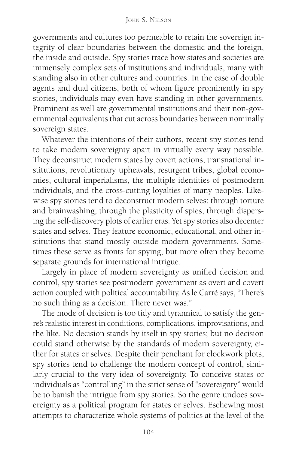governments and cultures too permeable to retain the sovereign integrity of clear boundaries between the domestic and the foreign, the inside and outside. Spy stories trace how states and societies are immensely complex sets of institutions and individuals, many with standing also in other cultures and countries. In the case of double agents and dual citizens, both of whom figure prominently in spy stories, individuals may even have standing in other governments. Prominent as well are governmental institutions and their non-governmental equivalents that cut across boundaries between nominally sovereign states.

Whatever the intentions of their authors, recent spy stories tend to take modern sovereignty apart in virtually every way possible. They deconstruct modern states by covert actions, transnational institutions, revolutionary upheavals, resurgent tribes, global economies, cultural imperialisms, the multiple identities of postmodern individuals, and the cross-cutting loyalties of many peoples. Likewise spy stories tend to deconstruct modern selves: through torture and brainwashing, through the plasticity of spies, through dispersing the self-discovery plots of earlier eras. Yet spy stories also decenter states and selves. They feature economic, educational, and other institutions that stand mostly outside modern governments. Sometimes these serve as fronts for spying, but more often they become separate grounds for international intrigue.

Largely in place of modern sovereignty as unified decision and control, spy stories see postmodern government as overt and covert action coupled with political accountability. As le Carré says, "There's no such thing as a decision. There never was."

The mode of decision is too tidy and tyrannical to satisfy the genre's realistic interest in conditions, complications, improvisations, and the like. No decision stands by itself in spy stories; but no decision could stand otherwise by the standards of modern sovereignty, either for states or selves. Despite their penchant for clockwork plots, spy stories tend to challenge the modern concept of control, similarly crucial to the very idea of sovereignty. To conceive states or individuals as "controlling" in the strict sense of "sovereignty" would be to banish the intrigue from spy stories. So the genre undoes sovereignty as a political program for states or selves. Eschewing most attempts to characterize whole systems of politics at the level of the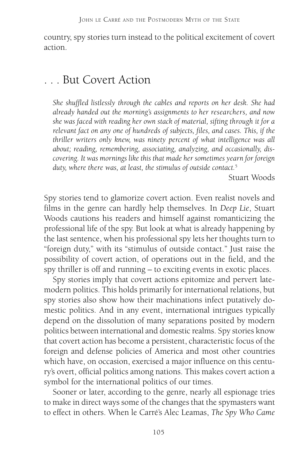country, spy stories turn instead to the political excitement of covert action.

#### . . . But Covert Action

*She shuffled listlessly through the cables and reports on her desk. She had already handed out the morning's assignments to her researchers, and now she was faced with reading her own stack of material, sifting through it for a relevant fact on any one of hundreds of subjects, files, and cases. This, if the thriller writers only knew, was ninety percent of what intelligence was all about; reading, remembering, associating, analyzing, and occasionally, discovering. It was mornings like this that made her sometimes yearn for foreign duty, where there was, at least, the stimulus of outside contact.*<sup>5</sup>

Stuart Woods

Spy stories tend to glamorize covert action. Even realist novels and films in the genre can hardly help themselves. In *Deep Lie*, Stuart Woods cautions his readers and himself against romanticizing the professional life of the spy. But look at what is already happening by the last sentence, when his professional spy lets her thoughts turn to "foreign duty," with its "stimulus of outside contact." Just raise the possibility of covert action, of operations out in the field, and the spy thriller is off and running – to exciting events in exotic places.

Spy stories imply that covert actions epitomize and pervert latemodern politics. This holds primarily for international relations, but spy stories also show how their machinations infect putatively domestic politics. And in any event, international intrigues typically depend on the dissolution of many separations posited by modern politics between international and domestic realms. Spy stories know that covert action has become a persistent, characteristic focus of the foreign and defense policies of America and most other countries which have, on occasion, exercised a major influence on this century's overt, official politics among nations. This makes covert action a symbol for the international politics of our times.

Sooner or later, according to the genre, nearly all espionage tries to make in direct ways some of the changes that the spymasters want to effect in others. When le Carré's Alec Leamas, *The Spy Who Came*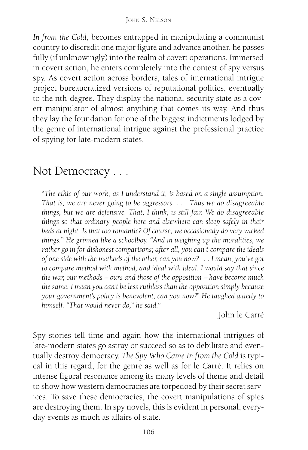*In from the Cold*, becomes entrapped in manipulating a communist country to discredit one major figure and advance another, he passes fully (if unknowingly) into the realm of covert operations. Immersed in covert action, he enters completely into the contest of spy versus spy. As covert action across borders, tales of international intrigue project bureaucratized versions of reputational politics, eventually to the nth-degree. They display the national-security state as a covert manipulator of almost anything that comes its way. And thus they lay the foundation for one of the biggest indictments lodged by the genre of international intrigue against the professional practice of spying for late-modern states.

## Not Democracy . . .

"*The ethic of our work, as I understand it, is based on a single assumption. That is, we are never going to be aggressors. . . . Thus we do disagreeable things, but we are defensive. That, I think, is still fair. We do disagreeable things so that ordinary people here and elsewhere can sleep safely in their beds at night. Is that too romantic? Of course, we occasionally do very wicked things.*" *He grinned like a schoolboy. "And in weighing up the moralities, we rather go in for dishonest comparisons; after all, you can't compare the ideals of one side with the methods of the other, can you now? . . . I mean, you've got to compare method with method, and ideal with ideal. I would say that since the war, our methods – ours and those of the opposition – have become much the same. I mean you can't be less ruthless than the opposition simply because your government's policy is benevolent, can you now?*" *He laughed quietly to himself. "That would never do,*" *he said.*<sup>6</sup>

John le Carré

Spy stories tell time and again how the international intrigues of late-modern states go astray or succeed so as to debilitate and eventually destroy democracy. *The Spy Who Came In from the Cold* is typical in this regard, for the genre as well as for le Carré. It relies on intense figural resonance among its many levels of theme and detail to show how western democracies are torpedoed by their secret services. To save these democracies, the covert manipulations of spies are destroying them. In spy novels, this is evident in personal, everyday events as much as affairs of state.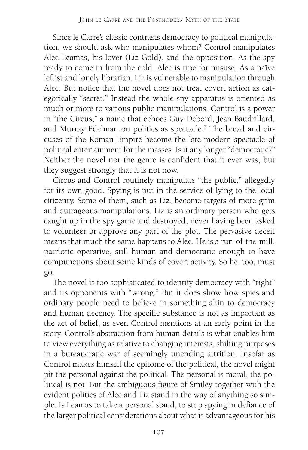Since le Carré's classic contrasts democracy to political manipulation, we should ask who manipulates whom? Control manipulates Alec Leamas, his lover (Liz Gold), and the opposition. As the spy ready to come in from the cold, Alec is ripe for misuse. As a naïve leftist and lonely librarian, Liz is vulnerable to manipulation through Alec. But notice that the novel does not treat covert action as categorically "secret." Instead the whole spy apparatus is oriented as much or more to various public manipulations. Control is a power in "the Circus," a name that echoes Guy Debord, Jean Baudrillard, and Murray Edelman on politics as spectacle.<sup>7</sup> The bread and circuses of the Roman Empire become the late-modern spectacle of political entertainment for the masses. Is it any longer "democratic?" Neither the novel nor the genre is confident that it ever was, but they suggest strongly that it is not now.

Circus and Control routinely manipulate "the public," allegedly for its own good. Spying is put in the service of lying to the local citizenry. Some of them, such as Liz, become targets of more grim and outrageous manipulations. Liz is an ordinary person who gets caught up in the spy game and destroyed, never having been asked to volunteer or approve any part of the plot. The pervasive deceit means that much the same happens to Alec. He is a run-of-the-mill, patriotic operative, still human and democratic enough to have compunctions about some kinds of covert activity. So he, too, must go.

The novel is too sophisticated to identify democracy with "right" and its opponents with "wrong." But it does show how spies and ordinary people need to believe in something akin to democracy and human decency. The specific substance is not as important as the act of belief, as even Control mentions at an early point in the story. Control's abstraction from human details is what enables him to view everything as relative to changing interests, shifting purposes in a bureaucratic war of seemingly unending attrition. Insofar as Control makes himself the epitome of the political, the novel might pit the personal against the political. The personal is moral, the political is not. But the ambiguous figure of Smiley together with the evident politics of Alec and Liz stand in the way of anything so simple. Is Leamas to take a personal stand, to stop spying in defiance of the larger political considerations about what is advantageous for his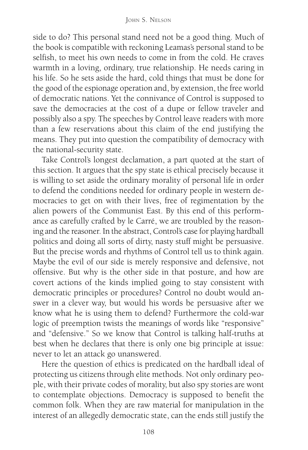side to do? This personal stand need not be a good thing. Much of the book is compatible with reckoning Leamas's personal stand to be selfish, to meet his own needs to come in from the cold. He craves warmth in a loving, ordinary, true relationship. He needs caring in his life. So he sets aside the hard, cold things that must be done for the good of the espionage operation and, by extension, the free world of democratic nations. Yet the connivance of Control is supposed to save the democracies at the cost of a dupe or fellow traveler and possibly also a spy. The speeches by Control leave readers with more than a few reservations about this claim of the end justifying the means. They put into question the compatibility of democracy with the national-security state.

Take Control's longest declamation, a part quoted at the start of this section. It argues that the spy state is ethical precisely because it is willing to set aside the ordinary morality of personal life in order to defend the conditions needed for ordinary people in western democracies to get on with their lives, free of regimentation by the alien powers of the Communist East. By this end of this performance as carefully crafted by le Carré, we are troubled by the reasoning and the reasoner. In the abstract, Control's case for playing hardball politics and doing all sorts of dirty, nasty stuff might be persuasive. But the precise words and rhythms of Control tell us to think again. Maybe the evil of our side is merely responsive and defensive, not offensive. But why is the other side in that posture, and how are covert actions of the kinds implied going to stay consistent with democratic principles or procedures? Control no doubt would answer in a clever way, but would his words be persuasive after we know what he is using them to defend? Furthermore the cold-war logic of preemption twists the meanings of words like "responsive" and "defensive." So we know that Control is talking half-truths at best when he declares that there is only one big principle at issue: never to let an attack go unanswered.

Here the question of ethics is predicated on the hardball ideal of protecting us citizens through elite methods. Not only ordinary people, with their private codes of morality, but also spy stories are wont to contemplate objections. Democracy is supposed to benefit the common folk. When they are raw material for manipulation in the interest of an allegedly democratic state, can the ends still justify the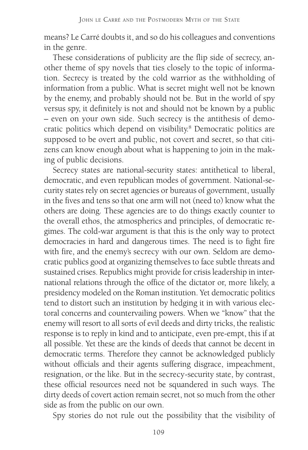means? Le Carré doubts it, and so do his colleagues and conventions in the genre.

These considerations of publicity are the flip side of secrecy, another theme of spy novels that ties closely to the topic of information. Secrecy is treated by the cold warrior as the withholding of information from a public. What is secret might well not be known by the enemy, and probably should not be. But in the world of spy versus spy, it definitely is not and should not be known by a public – even on your own side. Such secrecy is the antithesis of democratic politics which depend on visibility.<sup>8</sup> Democratic politics are supposed to be overt and public, not covert and secret, so that citizens can know enough about what is happening to join in the making of public decisions.

Secrecy states are national-security states: antithetical to liberal, democratic, and even republican modes of government. National-security states rely on secret agencies or bureaus of government, usually in the fives and tens so that one arm will not (need to) know what the others are doing. These agencies are to do things exactly counter to the overall ethos, the atmospherics and principles, of democratic regimes. The cold-war argument is that this is the only way to protect democracies in hard and dangerous times. The need is to fight fire with fire, and the enemy's secrecy with our own. Seldom are democratic publics good at organizing themselves to face subtle threats and sustained crises. Republics might provide for crisis leadership in international relations through the office of the dictator or, more likely, a presidency modeled on the Roman institution. Yet democratic politics tend to distort such an institution by hedging it in with various electoral concerns and countervailing powers. When we "know" that the enemy will resort to all sorts of evil deeds and dirty tricks, the realistic response is to reply in kind and to anticipate, even pre-empt, this if at all possible. Yet these are the kinds of deeds that cannot be decent in democratic terms. Therefore they cannot be acknowledged publicly without officials and their agents suffering disgrace, impeachment, resignation, or the like. But in the secrecy-security state, by contrast, these official resources need not be squandered in such ways. The dirty deeds of covert action remain secret, not so much from the other side as from the public on our own.

Spy stories do not rule out the possibility that the visibility of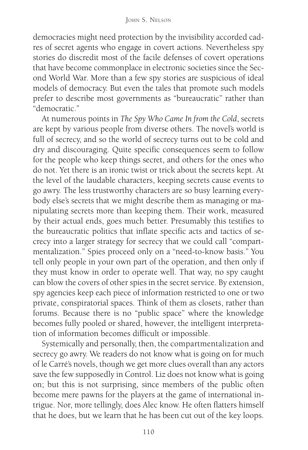democracies might need protection by the invisibility accorded cadres of secret agents who engage in covert actions. Nevertheless spy stories do discredit most of the facile defenses of covert operations that have become commonplace in electronic societies since the Second World War. More than a few spy stories are suspicious of ideal models of democracy. But even the tales that promote such models prefer to describe most governments as "bureaucratic" rather than "democratic."

At numerous points in *The Spy Who Came In from the Cold*, secrets are kept by various people from diverse others. The novel's world is full of secrecy, and so the world of secrecy turns out to be cold and dry and discouraging. Quite specific consequences seem to follow for the people who keep things secret, and others for the ones who do not. Yet there is an ironic twist or trick about the secrets kept. At the level of the laudable characters, keeping secrets cause events to go awry. The less trustworthy characters are so busy learning everybody else's secrets that we might describe them as managing or manipulating secrets more than keeping them. Their work, measured by their actual ends, goes much better. Presumably this testifies to the bureaucratic politics that inflate specific acts and tactics of secrecy into a larger strategy for secrecy that we could call "compartmentalization." Spies proceed only on a "need-to-know basis." You tell only people in your own part of the operation, and then only if they must know in order to operate well. That way, no spy caught can blow the covers of other spies in the secret service. By extension, spy agencies keep each piece of information restricted to one or two private, conspiratorial spaces. Think of them as closets, rather than forums. Because there is no "public space" where the knowledge becomes fully pooled or shared, however, the intelligent interpretation of information becomes difficult or impossible.

Systemically and personally, then, the compartmentalization and secrecy go awry. We readers do not know what is going on for much of le Carré's novels, though we get more clues overall than any actors save the few supposedly in Control. Liz does not know what is going on; but this is not surprising, since members of the public often become mere pawns for the players at the game of international intrigue. Nor, more tellingly, does Alec know. He often flatters himself that he does, but we learn that he has been cut out of the key loops.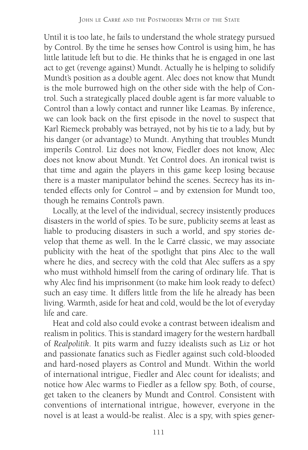Until it is too late, he fails to understand the whole strategy pursued by Control. By the time he senses how Control is using him, he has little latitude left but to die. He thinks that he is engaged in one last act to get (revenge against) Mundt. Actually he is helping to solidify Mundt's position as a double agent. Alec does not know that Mundt is the mole burrowed high on the other side with the help of Control. Such a strategically placed double agent is far more valuable to Control than a lowly contact and runner like Leamas. By inference, we can look back on the first episode in the novel to suspect that Karl Riemeck probably was betrayed, not by his tie to a lady, but by his danger (or advantage) to Mundt. Anything that troubles Mundt imperils Control. Liz does not know, Fiedler does not know, Alec does not know about Mundt. Yet Control does. An ironical twist is that time and again the players in this game keep losing because there is a master manipulator behind the scenes. Secrecy has its intended effects only for Control – and by extension for Mundt too, though he remains Control's pawn.

Locally, at the level of the individual, secrecy insistently produces disasters in the world of spies. To be sure, publicity seems at least as liable to producing disasters in such a world, and spy stories develop that theme as well. In the le Carré classic, we may associate publicity with the heat of the spotlight that pins Alec to the wall where he dies, and secrecy with the cold that Alec suffers as a spy who must withhold himself from the caring of ordinary life. That is why Alec find his imprisonment (to make him look ready to defect) such an easy time. It differs little from the life he already has been living. Warmth, aside for heat and cold, would be the lot of everyday life and care.

Heat and cold also could evoke a contrast between idealism and realism in politics. This is standard imagery for the western hardball of *Realpolitik*. It pits warm and fuzzy idealists such as Liz or hot and passionate fanatics such as Fiedler against such cold-blooded and hard-nosed players as Control and Mundt. Within the world of international intrigue, Fiedler and Alec count for idealists; and notice how Alec warms to Fiedler as a fellow spy. Both, of course, get taken to the cleaners by Mundt and Control. Consistent with conventions of international intrigue, however, everyone in the novel is at least a would-be realist. Alec is a spy, with spies gener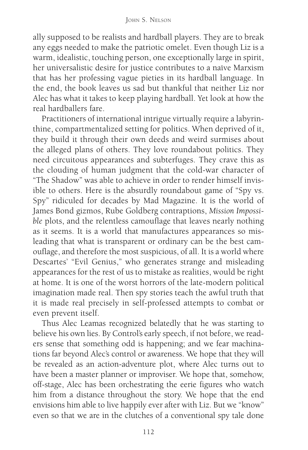ally supposed to be realists and hardball players. They are to break any eggs needed to make the patriotic omelet. Even though Liz is a warm, idealistic, touching person, one exceptionally large in spirit, her universalistic desire for justice contributes to a naïve Marxism that has her professing vague pieties in its hardball language. In the end, the book leaves us sad but thankful that neither Liz nor Alec has what it takes to keep playing hardball. Yet look at how the real hardballers fare.

Practitioners of international intrigue virtually require a labyrinthine, compartmentalized setting for politics. When deprived of it, they build it through their own deeds and weird surmises about the alleged plans of others. They love roundabout politics. They need circuitous appearances and subterfuges. They crave this as the clouding of human judgment that the cold-war character of "The Shadow" was able to achieve in order to render himself invisible to others. Here is the absurdly roundabout game of "Spy vs. Spy" ridiculed for decades by Mad Magazine. It is the world of James Bond gizmos, Rube Goldberg contraptions, *Mission Impossible* plots, and the relentless camouflage that leaves nearly nothing as it seems. It is a world that manufactures appearances so misleading that what is transparent or ordinary can be the best camouflage, and therefore the most suspicious, of all. It is a world where Descartes' "Evil Genius," who generates strange and misleading appearances for the rest of us to mistake as realities, would be right at home. It is one of the worst horrors of the late-modern political imagination made real. Then spy stories teach the awful truth that it is made real precisely in self-professed attempts to combat or even prevent itself.

Thus Alec Leamas recognized belatedly that he was starting to believe his own lies. By Control's early speech, if not before, we readers sense that something odd is happening; and we fear machinations far beyond Alec's control or awareness. We hope that they will be revealed as an action-adventure plot, where Alec turns out to have been a master planner or improviser. We hope that, somehow, off-stage, Alec has been orchestrating the eerie figures who watch him from a distance throughout the story. We hope that the end envisions him able to live happily ever after with Liz. But we "know" even so that we are in the clutches of a conventional spy tale done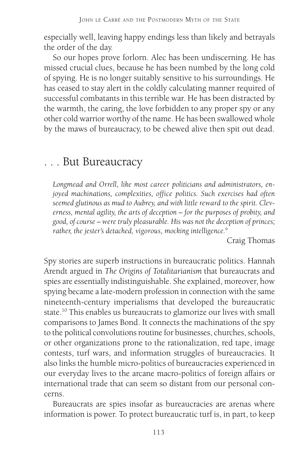especially well, leaving happy endings less than likely and betrayals the order of the day.

So our hopes prove forlorn. Alec has been undiscerning. He has missed crucial clues, because he has been numbed by the long cold of spying. He is no longer suitably sensitive to his surroundings. He has ceased to stay alert in the coldly calculating manner required of successful combatants in this terrible war. He has been distracted by the warmth, the caring, the love forbidden to any proper spy or any other cold warrior worthy of the name. He has been swallowed whole by the maws of bureaucracy, to be chewed alive then spit out dead.

#### . . . But Bureaucracy

*Longmead and Orrell, like most career politicians and administrators, enjoyed machinations, complexities, office politics. Such exercises had often seemed glutinous as mud to Aubrey, and with little reward to the spirit. Cleverness, mental agility, the arts of deception – for the purposes of probity, and good, of course – were truly pleasurable. His was not the deception of princes; rather, the jester's detached, vigorous, mocking intelligence.*<sup>9</sup>

Craig Thomas

Spy stories are superb instructions in bureaucratic politics. Hannah Arendt argued in *The Origins of Totalitarianism* that bureaucrats and spies are essentially indistinguishable. She explained, moreover, how spying became a late-modern profession in connection with the same nineteenth-century imperialisms that developed the bureaucratic state.10 This enables us bureaucrats to glamorize our lives with small comparisons to James Bond. It connects the machinations of the spy to the political convolutions routine for businesses, churches, schools, or other organizations prone to the rationalization, red tape, image contests, turf wars, and information struggles of bureaucracies. It also links the humble micro-politics of bureaucracies experienced in our everyday lives to the arcane macro-politics of foreign affairs or international trade that can seem so distant from our personal concerns.

Bureaucrats are spies insofar as bureaucracies are arenas where information is power. To protect bureaucratic turf is, in part, to keep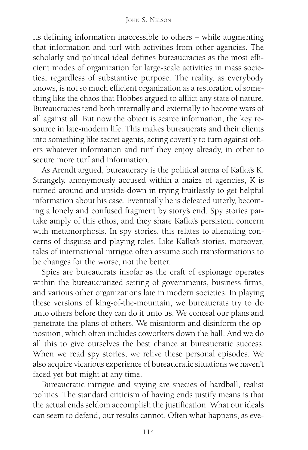its defining information inaccessible to others – while augmenting that information and turf with activities from other agencies. The scholarly and political ideal defines bureaucracies as the most efficient modes of organization for large-scale activities in mass societies, regardless of substantive purpose. The reality, as everybody knows, is not so much efficient organization as a restoration of something like the chaos that Hobbes argued to afflict any state of nature. Bureaucracies tend both internally and externally to become wars of all against all. But now the object is scarce information, the key resource in late-modern life. This makes bureaucrats and their clients into something like secret agents, acting covertly to turn against others whatever information and turf they enjoy already, in other to secure more turf and information.

As Arendt argued, bureaucracy is the political arena of Kafka's K. Strangely, anonymously accused within a maize of agencies, K is turned around and upside-down in trying fruitlessly to get helpful information about his case. Eventually he is defeated utterly, becoming a lonely and confused fragment by story's end. Spy stories partake amply of this ethos, and they share Kafka's persistent concern with metamorphosis. In spy stories, this relates to alienating concerns of disguise and playing roles. Like Kafka's stories, moreover, tales of international intrigue often assume such transformations to be changes for the worse, not the better.

Spies are bureaucrats insofar as the craft of espionage operates within the bureaucratized setting of governments, business firms, and various other organizations late in modern societies. In playing these versions of king-of-the-mountain, we bureaucrats try to do unto others before they can do it unto us. We conceal our plans and penetrate the plans of others. We misinform and disinform the opposition, which often includes coworkers down the hall. And we do all this to give ourselves the best chance at bureaucratic success. When we read spy stories, we relive these personal episodes. We also acquire vicarious experience of bureaucratic situations we haven't faced yet but might at any time.

Bureaucratic intrigue and spying are species of hardball, realist politics. The standard criticism of having ends justify means is that the actual ends seldom accomplish the justification. What our ideals can seem to defend, our results cannot. Often what happens, as eve-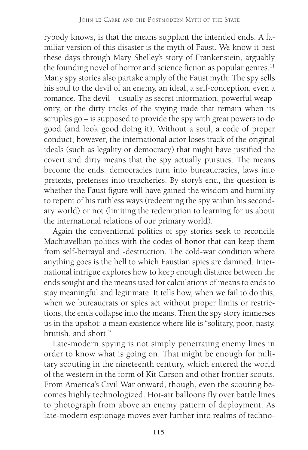rybody knows, is that the means supplant the intended ends. A familiar version of this disaster is the myth of Faust. We know it best these days through Mary Shelley's story of Frankenstein, arguably the founding novel of horror and science fiction as popular genres.<sup>11</sup> Many spy stories also partake amply of the Faust myth. The spy sells his soul to the devil of an enemy, an ideal, a self-conception, even a romance. The devil – usually as secret information, powerful weaponry, or the dirty tricks of the spying trade that remain when its scruples go – is supposed to provide the spy with great powers to do good (and look good doing it). Without a soul, a code of proper conduct, however, the international actor loses track of the original ideals (such as legality or democracy) that might have justified the covert and dirty means that the spy actually pursues. The means become the ends: democracies turn into bureaucracies, laws into pretexts, pretenses into treacheries. By story's end, the question is whether the Faust figure will have gained the wisdom and humility to repent of his ruthless ways (redeeming the spy within his secondary world) or not (limiting the redemption to learning for us about the international relations of our primary world).

Again the conventional politics of spy stories seek to reconcile Machiavellian politics with the codes of honor that can keep them from self-betrayal and -destruction. The cold-war condition where anything goes is the hell to which Faustian spies are damned. International intrigue explores how to keep enough distance between the ends sought and the means used for calculations of means to ends to stay meaningful and legitimate. It tells how, when we fail to do this, when we bureaucrats or spies act without proper limits or restrictions, the ends collapse into the means. Then the spy story immerses us in the upshot: a mean existence where life is "solitary, poor, nasty, brutish, and short."

Late-modern spying is not simply penetrating enemy lines in order to know what is going on. That might be enough for military scouting in the nineteenth century, which entered the world of the western in the form of Kit Carson and other frontier scouts. From America's Civil War onward, though, even the scouting becomes highly technologized. Hot-air balloons fly over battle lines to photograph from above an enemy pattern of deployment. As late-modern espionage moves ever further into realms of techno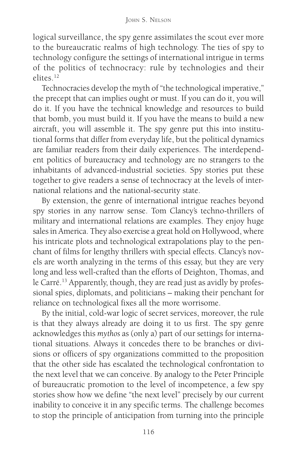logical surveillance, the spy genre assimilates the scout ever more to the bureaucratic realms of high technology. The ties of spy to technology configure the settings of international intrigue in terms of the politics of technocracy: rule by technologies and their elites<sup>12</sup>

Technocracies develop the myth of "the technological imperative," the precept that can implies ought or must. If you can do it, you will do it. If you have the technical knowledge and resources to build that bomb, you must build it. If you have the means to build a new aircraft, you will assemble it. The spy genre put this into institutional forms that differ from everyday life, but the political dynamics are familiar readers from their daily experiences. The interdependent politics of bureaucracy and technology are no strangers to the inhabitants of advanced-industrial societies. Spy stories put these together to give readers a sense of technocracy at the levels of international relations and the national-security state.

By extension, the genre of international intrigue reaches beyond spy stories in any narrow sense. Tom Clancy's techno-thrillers of military and international relations are examples. They enjoy huge sales in America. They also exercise a great hold on Hollywood, where his intricate plots and technological extrapolations play to the penchant of films for lengthy thrillers with special effects. Clancy's novels are worth analyzing in the terms of this essay, but they are very long and less well-crafted than the efforts of Deighton, Thomas, and le Carré.<sup>13</sup> Apparently, though, they are read just as avidly by professional spies, diplomats, and politicians – making their penchant for reliance on technological fixes all the more worrisome.

By the initial, cold-war logic of secret services, moreover, the rule is that they always already are doing it to us first. The spy genre acknowledges this *mythos* as (only a) part of our settings for international situations. Always it concedes there to be branches or divisions or officers of spy organizations committed to the proposition that the other side has escalated the technological confrontation to the next level that we can conceive. By analogy to the Peter Principle of bureaucratic promotion to the level of incompetence, a few spy stories show how we define "the next level" precisely by our current inability to conceive it in any specific terms. The challenge becomes to stop the principle of anticipation from turning into the principle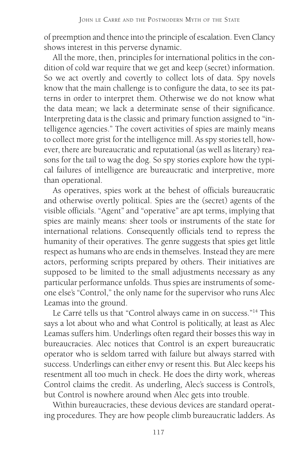of preemption and thence into the principle of escalation. Even Clancy shows interest in this perverse dynamic.

All the more, then, principles for international politics in the condition of cold war require that we get and keep (secret) information. So we act overtly and covertly to collect lots of data. Spy novels know that the main challenge is to configure the data, to see its patterns in order to interpret them. Otherwise we do not know what the data mean; we lack a determinate sense of their significance. Interpreting data is the classic and primary function assigned to "intelligence agencies." The covert activities of spies are mainly means to collect more grist for the intelligence mill. As spy stories tell, however, there are bureaucratic and reputational (as well as literary) reasons for the tail to wag the dog. So spy stories explore how the typical failures of intelligence are bureaucratic and interpretive, more than operational.

As operatives, spies work at the behest of officials bureaucratic and otherwise overtly political. Spies are the (secret) agents of the visible officials. "Agent" and "operative" are apt terms, implying that spies are mainly means: sheer tools or instruments of the state for international relations. Consequently officials tend to repress the humanity of their operatives. The genre suggests that spies get little respect as humans who are ends in themselves. Instead they are mere actors, performing scripts prepared by others. Their initiatives are supposed to be limited to the small adjustments necessary as any particular performance unfolds. Thus spies are instruments of someone else's "Control," the only name for the supervisor who runs Alec Leamas into the ground.

Le Carré tells us that "Control always came in on success."14 This says a lot about who and what Control is politically, at least as Alec Leamas suffers him. Underlings often regard their bosses this way in bureaucracies. Alec notices that Control is an expert bureaucratic operator who is seldom tarred with failure but always starred with success. Underlings can either envy or resent this. But Alec keeps his resentment all too much in check. He does the dirty work, whereas Control claims the credit. As underling, Alec's success is Control's, but Control is nowhere around when Alec gets into trouble.

Within bureaucracies, these devious devices are standard operating procedures. They are how people climb bureaucratic ladders. As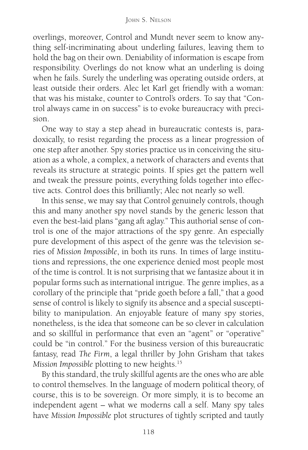overlings, moreover, Control and Mundt never seem to know anything self-incriminating about underling failures, leaving them to hold the bag on their own. Deniability of information is escape from responsibility. Overlings do not know what an underling is doing when he fails. Surely the underling was operating outside orders, at least outside their orders. Alec let Karl get friendly with a woman: that was his mistake, counter to Control's orders. To say that "Control always came in on success" is to evoke bureaucracy with precision.

One way to stay a step ahead in bureaucratic contests is, paradoxically, to resist regarding the process as a linear progression of one step after another. Spy stories practice us in conceiving the situation as a whole, a complex, a network of characters and events that reveals its structure at strategic points. If spies get the pattern well and tweak the pressure points, everything folds together into effective acts. Control does this brilliantly; Alec not nearly so well.

In this sense, we may say that Control genuinely controls, though this and many another spy novel stands by the generic lesson that even the best-laid plans "gang aft aglay." This authorial sense of control is one of the major attractions of the spy genre. An especially pure development of this aspect of the genre was the television series of *Mission Impossible*, in both its runs. In times of large institutions and repressions, the one experience denied most people most of the time is control. It is not surprising that we fantasize about it in popular forms such as international intrigue. The genre implies, as a corollary of the principle that "pride goeth before a fall," that a good sense of control is likely to signify its absence and a special susceptibility to manipulation. An enjoyable feature of many spy stories, nonetheless, is the idea that someone can be so clever in calculation and so skillful in performance that even an "agent" or "operative" could be "in control." For the business version of this bureaucratic fantasy, read *The Firm*, a legal thriller by John Grisham that takes *Mission Impossible* plotting to new heights.15

By this standard, the truly skillful agents are the ones who are able to control themselves. In the language of modern political theory, of course, this is to be sovereign. Or more simply, it is to become an independent agent – what we moderns call a self. Many spy tales have *Mission Impossible* plot structures of tightly scripted and tautly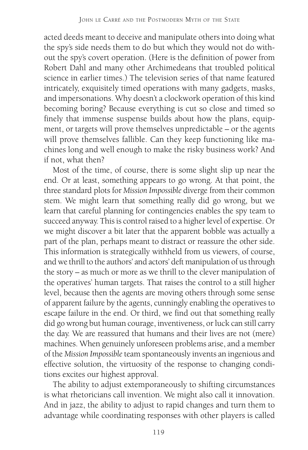acted deeds meant to deceive and manipulate others into doing what the spy's side needs them to do but which they would not do without the spy's covert operation. (Here is the definition of power from Robert Dahl and many other Archimedeans that troubled political science in earlier times.) The television series of that name featured intricately, exquisitely timed operations with many gadgets, masks, and impersonations. Why doesn't a clockwork operation of this kind becoming boring? Because everything is cut so close and timed so finely that immense suspense builds about how the plans, equipment, or targets will prove themselves unpredictable – or the agents will prove themselves fallible. Can they keep functioning like machines long and well enough to make the risky business work? And if not, what then?

Most of the time, of course, there is some slight slip up near the end. Or at least, something appears to go wrong. At that point, the three standard plots for *Mission Impossible* diverge from their common stem. We might learn that something really did go wrong, but we learn that careful planning for contingencies enables the spy team to succeed anyway. This is control raised to a higher level of expertise. Or we might discover a bit later that the apparent bobble was actually a part of the plan, perhaps meant to distract or reassure the other side. This information is strategically withheld from us viewers, of course, and we thrill to the authors' and actors' deft manipulation of us through the story – as much or more as we thrill to the clever manipulation of the operatives' human targets. That raises the control to a still higher level, because then the agents are moving others through some sense of apparent failure by the agents, cunningly enabling the operatives to escape failure in the end. Or third, we find out that something really did go wrong but human courage, inventiveness, or luck can still carry the day. We are reassured that humans and their lives are not (mere) machines. When genuinely unforeseen problems arise, and a member of the *Mission Impossible* team spontaneously invents an ingenious and effective solution, the virtuosity of the response to changing conditions excites our highest approval.

The ability to adjust extemporaneously to shifting circumstances is what rhetoricians call invention. We might also call it innovation. And in jazz, the ability to adjust to rapid changes and turn them to advantage while coordinating responses with other players is called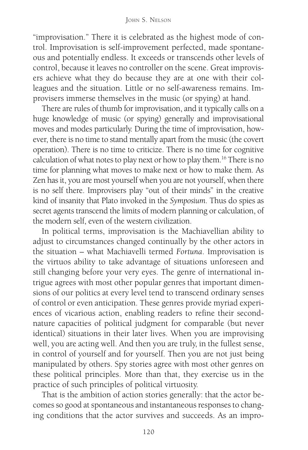"improvisation." There it is celebrated as the highest mode of control. Improvisation is self-improvement perfected, made spontaneous and potentially endless. It exceeds or transcends other levels of control, because it leaves no controller on the scene. Great improvisers achieve what they do because they are at one with their colleagues and the situation. Little or no self-awareness remains. Improvisers immerse themselves in the music (or spying) at hand.

There are rules of thumb for improvisation, and it typically calls on a huge knowledge of music (or spying) generally and improvisational moves and modes particularly. During the time of improvisation, however, there is no time to stand mentally apart from the music (the covert operation). There is no time to criticize. There is no time for cognitive calculation of what notes to play next or how to play them.16 There is no time for planning what moves to make next or how to make them. As Zen has it, you are most yourself when you are not yourself, when there is no self there. Improvisers play "out of their minds" in the creative kind of insanity that Plato invoked in the *Symposium*. Thus do spies as secret agents transcend the limits of modern planning or calculation, of the modern self, even of the western civilization.

In political terms, improvisation is the Machiavellian ability to adjust to circumstances changed continually by the other actors in the situation – what Machiavelli termed *Fortuna*. Improvisation is the virtuos ability to take advantage of situations unforeseen and still changing before your very eyes. The genre of international intrigue agrees with most other popular genres that important dimensions of our politics at every level tend to transcend ordinary senses of control or even anticipation. These genres provide myriad experiences of vicarious action, enabling readers to refine their secondnature capacities of political judgment for comparable (but never identical) situations in their later lives. When you are improvising well, you are acting well. And then you are truly, in the fullest sense, in control of yourself and for yourself. Then you are not just being manipulated by others. Spy stories agree with most other genres on these political principles. More than that, they exercise us in the practice of such principles of political virtuosity.

That is the ambition of action stories generally: that the actor becomes so good at spontaneous and instantaneous responses to changing conditions that the actor survives and succeeds. As an impro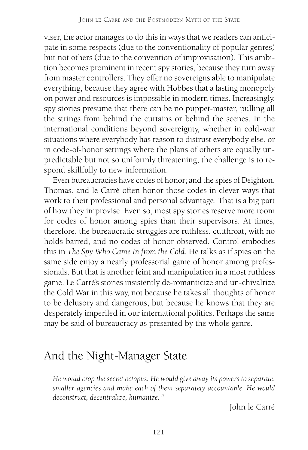viser, the actor manages to do this in ways that we readers can anticipate in some respects (due to the conventionality of popular genres) but not others (due to the convention of improvisation). This ambition becomes prominent in recent spy stories, because they turn away from master controllers. They offer no sovereigns able to manipulate everything, because they agree with Hobbes that a lasting monopoly on power and resources is impossible in modern times. Increasingly, spy stories presume that there can be no puppet-master, pulling all the strings from behind the curtains or behind the scenes. In the international conditions beyond sovereignty, whether in cold-war situations where everybody has reason to distrust everybody else, or in code-of-honor settings where the plans of others are equally unpredictable but not so uniformly threatening, the challenge is to respond skillfully to new information.

Even bureaucracies have codes of honor; and the spies of Deighton, Thomas, and le Carré often honor those codes in clever ways that work to their professional and personal advantage. That is a big part of how they improvise. Even so, most spy stories reserve more room for codes of honor among spies than their supervisors. At times, therefore, the bureaucratic struggles are ruthless, cutthroat, with no holds barred, and no codes of honor observed. Control embodies this in *The Spy Who Came In from the Cold*. He talks as if spies on the same side enjoy a nearly professorial game of honor among professionals. But that is another feint and manipulation in a most ruthless game. Le Carré's stories insistently de-romanticize and un-chivalrize the Cold War in this way, not because he takes all thoughts of honor to be delusory and dangerous, but because he knows that they are desperately imperiled in our international politics. Perhaps the same may be said of bureaucracy as presented by the whole genre.

#### And the Night-Manager State

*He would crop the secret octopus. He would give away its powers to separate, smaller agencies and make each of them separately accountable. He would deconstruct, decentralize, humanize.*<sup>17</sup>

John le Carré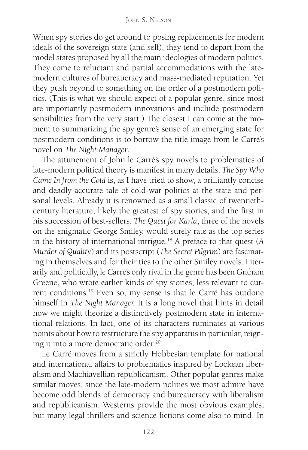When spy stories do get around to posing replacements for modern ideals of the sovereign state (and self), they tend to depart from the model states proposed by all the main ideologies of modern politics. They come to reluctant and partial accommodations with the latemodern cultures of bureaucracy and mass-mediated reputation. Yet they push beyond to something on the order of a postmodern politics. (This is what we should expect of a popular genre, since most are importantly postmodern innovations and include postmodern sensibilities from the very start.) The closest I can come at the moment to summarizing the spy genre's sense of an emerging state for postmodern conditions is to borrow the title image from le Carré's novel on *The Night Manager*.

The attunement of John le Carré's spy novels to problematics of late-modern political theory is manifest in many details. *The Spy Who Came In from the Cold* is, as I have tried to show, a brilliantly concise and deadly accurate tale of cold-war politics at the state and personal levels. Already it is renowned as a small classic of twentiethcentury literature, likely the greatest of spy stories, and the first in his succession of best-sellers. *The Quest for Karla*, three of the novels on the enigmatic George Smiley, would surely rate as the top series in the history of international intrigue.18 A preface to that quest (*A Murder of Quality*) and its postscript (*The Secret Pilgrim*) are fascinating in themselves and for their ties to the other Smiley novels. Literarily and politically, le Carré's only rival in the genre has been Graham Greene, who wrote earlier kinds of spy stories, less relevant to current conditions.19 Even so, my sense is that le Carré has outdone himself in *The Night Manager.* It is a long novel that hints in detail how we might theorize a distinctively postmodern state in international relations. In fact, one of its characters ruminates at various points about how to restructure the spy apparatus in particular, reigning it into a more democratic order.20

Le Carré moves from a strictly Hobbesian template for national and international affairs to problematics inspired by Lockean liberalism and Machiavellian republicanism. Other popular genres make similar moves, since the late-modern polities we most admire have become odd blends of democracy and bureaucracy with liberalism and republicanism. Westerns provide the most obvious examples, but many legal thrillers and science fictions come also to mind. In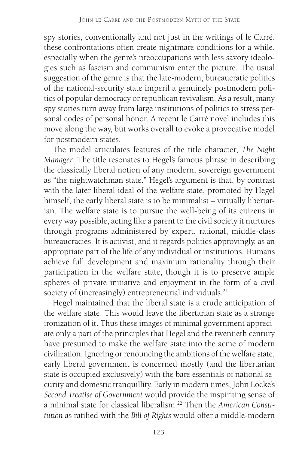spy stories, conventionally and not just in the writings of le Carré, these confrontations often create nightmare conditions for a while, especially when the genre's preoccupations with less savory ideologies such as fascism and communism enter the picture. The usual suggestion of the genre is that the late-modern, bureaucratic politics of the national-security state imperil a genuinely postmodern politics of popular democracy or republican revivalism. As a result, many spy stories turn away from large institutions of politics to stress personal codes of personal honor. A recent le Carré novel includes this move along the way, but works overall to evoke a provocative model for postmodern states.

The model articulates features of the title character, *The Night Manager*. The title resonates to Hegel's famous phrase in describing the classically liberal notion of any modern, sovereign government as "the nightwatchman state." Hegel's argument is that, by contrast with the later liberal ideal of the welfare state, promoted by Hegel himself, the early liberal state is to be minimalist – virtually libertarian. The welfare state is to pursue the well-being of its citizens in every way possible, acting like a parent to the civil society it nurtures through programs administered by expert, rational, middle-class bureaucracies. It is activist, and it regards politics approvingly, as an appropriate part of the life of any individual or institutions. Humans achieve full development and maximum rationality through their participation in the welfare state, though it is to preserve ample spheres of private initiative and enjoyment in the form of a civil society of (increasingly) entrepreneurial individuals.<sup>21</sup>

Hegel maintained that the liberal state is a crude anticipation of the welfare state. This would leave the libertarian state as a strange ironization of it. Thus these images of minimal government appreciate only a part of the principles that Hegel and the twentieth century have presumed to make the welfare state into the acme of modern civilization. Ignoring or renouncing the ambitions of the welfare state, early liberal government is concerned mostly (and the libertarian state is occupied exclusively) with the bare essentials of national security and domestic tranquillity. Early in modern times, John Locke's *Second Treatise of Government* would provide the inspiriting sense of a minimal state for classical liberalism.22 Then the *American Constitution* as ratified with the *Bill of Rights* would offer a middle-modern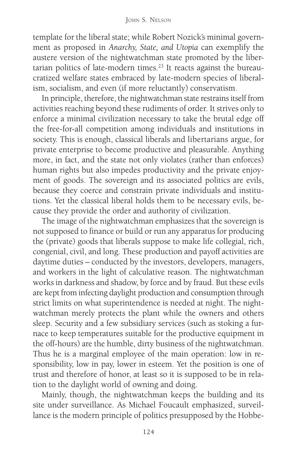template for the liberal state; while Robert Nozick's minimal government as proposed in *Anarchy, State, and Utopia* can exemplify the austere version of the nightwatchman state promoted by the libertarian politics of late-modern times.<sup>23</sup> It reacts against the bureaucratized welfare states embraced by late-modern species of liberalism, socialism, and even (if more reluctantly) conservatism.

In principle, therefore, the nightwatchman state restrains itself from activities reaching beyond these rudiments of order. It strives only to enforce a minimal civilization necessary to take the brutal edge off the free-for-all competition among individuals and institutions in society. This is enough, classical liberals and libertarians argue, for private enterprise to become productive and pleasurable. Anything more, in fact, and the state not only violates (rather than enforces) human rights but also impedes productivity and the private enjoyment of goods. The sovereign and its associated politics are evils, because they coerce and constrain private individuals and institutions. Yet the classical liberal holds them to be necessary evils, because they provide the order and authority of civilization.

The image of the nightwatchman emphasizes that the sovereign is not supposed to finance or build or run any apparatus for producing the (private) goods that liberals suppose to make life collegial, rich, congenial, civil, and long. These production and payoff activities are daytime duties – conducted by the investors, developers, managers, and workers in the light of calculative reason. The nightwatchman works in darkness and shadow, by force and by fraud. But these evils are kept from infecting daylight production and consumption through strict limits on what superintendence is needed at night. The nightwatchman merely protects the plant while the owners and others sleep. Security and a few subsidiary services (such as stoking a furnace to keep temperatures suitable for the productive equipment in the off-hours) are the humble, dirty business of the nightwatchman. Thus he is a marginal employee of the main operation: low in responsibility, low in pay, lower in esteem. Yet the position is one of trust and therefore of honor, at least so it is supposed to be in relation to the daylight world of owning and doing.

Mainly, though, the nightwatchman keeps the building and its site under surveillance. As Michael Foucault emphasized, surveillance is the modern principle of politics presupposed by the Hobbe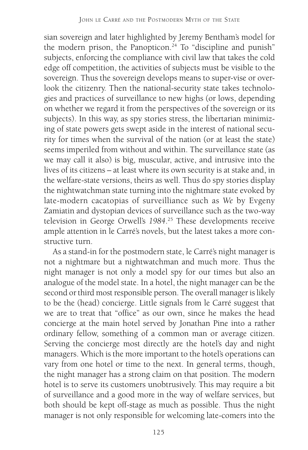sian sovereign and later highlighted by Jeremy Bentham's model for the modern prison, the Panopticon.<sup>24</sup> To "discipline and punish" subjects, enforcing the compliance with civil law that takes the cold edge off competition, the activities of subjects must be visible to the sovereign. Thus the sovereign develops means to super-vise or overlook the citizenry. Then the national-security state takes technologies and practices of surveillance to new highs (or lows, depending on whether we regard it from the perspectives of the sovereign or its subjects). In this way, as spy stories stress, the libertarian minimizing of state powers gets swept aside in the interest of national security for times when the survival of the nation (or at least the state) seems imperiled from without and within. The surveillance state (as we may call it also) is big, muscular, active, and intrusive into the lives of its citizens – at least where its own security is at stake and, in the welfare-state versions, theirs as well. Thus do spy stories display the nightwatchman state turning into the nightmare state evoked by late-modern cacatopias of surveilliance such as *We* by Evgeny Zamiatin and dystopian devices of surveillance such as the two-way television in George Orwell's *1984*. 25 These developments receive ample attention in le Carré's novels, but the latest takes a more constructive turn.

As a stand-in for the postmodern state, le Carré's night manager is not a nightmare but a nightwatchman and much more. Thus the night manager is not only a model spy for our times but also an analogue of the model state. In a hotel, the night manager can be the second or third most responsible person. The overall manager is likely to be the (head) concierge. Little signals from le Carré suggest that we are to treat that "office" as our own, since he makes the head concierge at the main hotel served by Jonathan Pine into a rather ordinary fellow, something of a common man or average citizen. Serving the concierge most directly are the hotel's day and night managers. Which is the more important to the hotel's operations can vary from one hotel or time to the next. In general terms, though, the night manager has a strong claim on that position. The modern hotel is to serve its customers unobtrusively. This may require a bit of surveillance and a good more in the way of welfare services, but both should be kept off-stage as much as possible. Thus the night manager is not only responsible for welcoming late-comers into the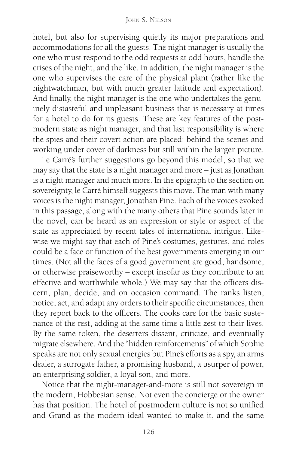hotel, but also for supervising quietly its major preparations and accommodations for all the guests. The night manager is usually the one who must respond to the odd requests at odd hours, handle the crises of the night, and the like. In addition, the night manager is the one who supervises the care of the physical plant (rather like the nightwatchman, but with much greater latitude and expectation). And finally, the night manager is the one who undertakes the genuinely distasteful and unpleasant business that is necessary at times for a hotel to do for its guests. These are key features of the postmodern state as night manager, and that last responsibility is where the spies and their covert action are placed: behind the scenes and working under cover of darkness but still within the larger picture.

Le Carré's further suggestions go beyond this model, so that we may say that the state is a night manager and more – just as Jonathan is a night manager and much more. In the epigraph to the section on sovereignty, le Carré himself suggests this move. The man with many voices is the night manager, Jonathan Pine. Each of the voices evoked in this passage, along with the many others that Pine sounds later in the novel, can be heard as an expression or style or aspect of the state as appreciated by recent tales of international intrigue. Likewise we might say that each of Pine's costumes, gestures, and roles could be a face or function of the best governments emerging in our times. (Not all the faces of a good government are good, handsome, or otherwise praiseworthy – except insofar as they contribute to an effective and worthwhile whole.) We may say that the officers discern, plan, decide, and on occasion command. The ranks listen, notice, act, and adapt any orders to their specific circumstances, then they report back to the officers. The cooks care for the basic sustenance of the rest, adding at the same time a little zest to their lives. By the same token, the deserters dissent, criticize, and eventually migrate elsewhere. And the "hidden reinforcements" of which Sophie speaks are not only sexual energies but Pine's efforts as a spy, an arms dealer, a surrogate father, a promising husband, a usurper of power, an enterprising soldier, a loyal son, and more.

Notice that the night-manager-and-more is still not sovereign in the modern, Hobbesian sense. Not even the concierge or the owner has that position. The hotel of postmodern culture is not so unified and Grand as the modern ideal wanted to make it, and the same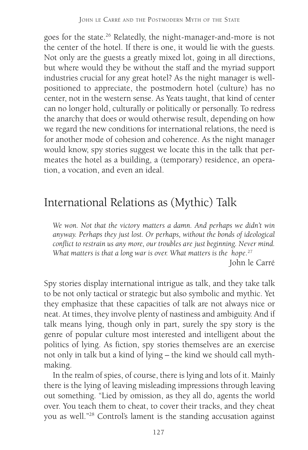goes for the state.26 Relatedly, the night-manager-and-more is not the center of the hotel. If there is one, it would lie with the guests. Not only are the guests a greatly mixed lot, going in all directions, but where would they be without the staff and the myriad support industries crucial for any great hotel? As the night manager is wellpositioned to appreciate, the postmodern hotel (culture) has no center, not in the western sense. As Yeats taught, that kind of center can no longer hold, culturally or politically or personally. To redress the anarchy that does or would otherwise result, depending on how we regard the new conditions for international relations, the need is for another mode of cohesion and coherence. As the night manager would know, spy stories suggest we locate this in the talk that permeates the hotel as a building, a (temporary) residence, an operation, a vocation, and even an ideal.

## International Relations as (Mythic) Talk

*We won. Not that the victory matters a damn. And perhaps we didn't win anyway. Perhaps they just lost. Or perhaps, without the bonds of ideological conflict to restrain us any more, our troubles are just beginning. Never mind. What matters is that a long war is over. What matters is the hope.*<sup>27</sup> John le Carré

Spy stories display international intrigue as talk, and they take talk to be not only tactical or strategic but also symbolic and mythic. Yet they emphasize that these capacities of talk are not always nice or neat. At times, they involve plenty of nastiness and ambiguity. And if talk means lying, though only in part, surely the spy story is the genre of popular culture most interested and intelligent about the politics of lying. As fiction, spy stories themselves are an exercise not only in talk but a kind of lying – the kind we should call mythmaking.

In the realm of spies, of course, there is lying and lots of it. Mainly there is the lying of leaving misleading impressions through leaving out something. "Lied by omission, as they all do, agents the world over. You teach them to cheat, to cover their tracks, and they cheat you as well."28 Control's lament is the standing accusation against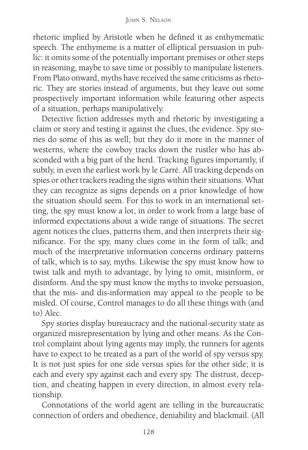rhetoric implied by Aristotle when he defined it as enthymematic speech. The enthymeme is a matter of elliptical persuasion in public: it omits some of the potentially important premises or other steps in reasoning, maybe to save time or possibly to manipulate listeners. From Plato onward, myths have received the same criticisms as rhetoric. They are stories instead of arguments, but they leave out some prospectively important information while featuring other aspects of a situation, perhaps manipulatively.

Detective fiction addresses myth and rhetoric by investigating a claim or story and testing it against the clues, the evidence. Spy stories do some of this as well; but they do it more in the manner of westerns, where the cowboy tracks down the rustler who has absconded with a big part of the herd. Tracking figures importantly, if subtly, in even the earliest work by le Carré. All tracking depends on spies or other trackers reading the signs within their situations. What they can recognize as signs depends on a prior knowledge of how the situation should seem. For this to work in an international setting, the spy must know a lot, in order to work from a large base of informed expectations about a wide range of situations. The secret agent notices the clues, patterns them, and then interprets their significance. For the spy, many clues come in the form of talk; and much of the interpretative information concerns ordinary patterns of talk, which is to say, myths. Likewise the spy must know how to twist talk and myth to advantage, by lying to omit, misinform, or disinform. And the spy must know the myths to invoke persuasion, that the mis- and dis-information may appeal to the people to be misled. Of course, Control manages to do all these things with (and to) Alec.

Spy stories display bureaucracy and the national-security state as organized misrepresentation by lying and other means. As the Control complaint about lying agents may imply, the runners for agents have to expect to be treated as a part of the world of spy versus spy. It is not just spies for one side versus spies for the other side; it is each and every spy against each and every spy. The distrust, deception, and cheating happen in every direction, in almost every relationship.

Connotations of the world agent are telling in the bureaucratic connection of orders and obedience, deniability and blackmail. (All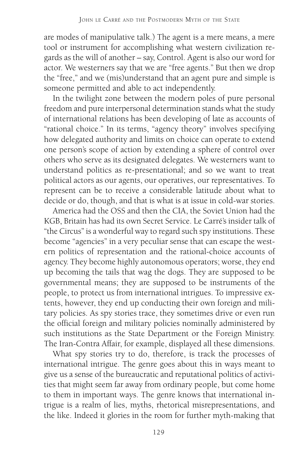are modes of manipulative talk.) The agent is a mere means, a mere tool or instrument for accomplishing what western civilization regards as the will of another – say, Control. Agent is also our word for actor. We westerners say that we are "free agents." But then we drop the "free," and we (mis)understand that an agent pure and simple is someone permitted and able to act independently.

In the twilight zone between the modern poles of pure personal freedom and pure interpersonal determination stands what the study of international relations has been developing of late as accounts of "rational choice." In its terms, "agency theory" involves specifying how delegated authority and limits on choice can operate to extend one person's scope of action by extending a sphere of control over others who serve as its designated delegates. We westerners want to understand politics as re-presentational; and so we want to treat political actors as our agents, our operatives, our representatives. To represent can be to receive a considerable latitude about what to decide or do, though, and that is what is at issue in cold-war stories.

America had the OSS and then the CIA, the Soviet Union had the KGB, Britain has had its own Secret Service. Le Carré's insider talk of "the Circus" is a wonderful way to regard such spy institutions. These become "agencies" in a very peculiar sense that can escape the western politics of representation and the rational-choice accounts of agency. They become highly autonomous operators; worse, they end up becoming the tails that wag the dogs. They are supposed to be governmental means; they are supposed to be instruments of the people, to protect us from international intrigues. To impressive extents, however, they end up conducting their own foreign and military policies. As spy stories trace, they sometimes drive or even run the official foreign and military policies nominally administered by such institutions as the State Department or the Foreign Ministry. The Iran-Contra Affair, for example, displayed all these dimensions.

What spy stories try to do, therefore, is track the processes of international intrigue. The genre goes about this in ways meant to give us a sense of the bureaucratic and reputational politics of activities that might seem far away from ordinary people, but come home to them in important ways. The genre knows that international intrigue is a realm of lies, myths, rhetorical misrepresentations, and the like. Indeed it glories in the room for further myth-making that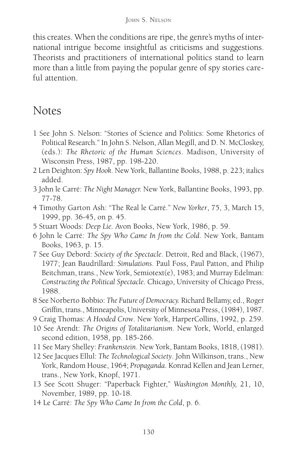this creates. When the conditions are ripe, the genre's myths of international intrigue become insightful as criticisms and suggestions. Theorists and practitioners of international politics stand to learn more than a little from paying the popular genre of spy stories careful attention.

#### Notes

- 1 See John S. Nelson: "Stories of Science and Politics: Some Rhetorics of Political Research." In John S. Nelson, Allan Megill, and D. N. McCloskey, (eds.): *The Rhetoric of the Human Sciences*. Madison, University of Wisconsin Press, 1987, pp. 198-220.
- 2 Len Deighton: *Spy Hook*. New York, Ballantine Books, 1988, p. 223; italics added.
- 3 John le Carré: *The Night Manager.* New York, Ballantine Books, 1993, pp. 77-78.
- 4 Timothy Garton Ash: "The Real le Carré." *New Yorker*, 75, 3, March 15, 1999, pp. 36-45, on p. 45.
- 5 Stuart Woods: *Deep Lie.* Avon Books, New York, 1986, p. 59.
- 6 John le Carré: *The Spy Who Came In from the Cold*. New York, Bantam Books, 1963, p. 15.
- 7 See Guy Debord: *Society of the Spectacle*. Detroit, Red and Black, (1967), 1977; Jean Baudrillard: *Simulations*. Paul Foss, Paul Patton, and Philip Beitchman, trans., New York, Semiotext(e), 1983; and Murray Edelman: *Constructing the Political Spectacle.* Chicago, University of Chicago Press, 1988.
- 8 See Norberto Bobbio: *The Future of Democracy.* Richard Bellamy, ed., Roger Griffin, trans., Minneapolis, University of Minnesota Press, (1984), 1987.
- 9 Craig Thomas: *A Hooded Crow*. New York, HarperCollins, 1992, p. 259.
- 10 See Arendt: *The Origins of Totalitarianism*. New York, World, enlarged second edition, 1958, pp. 185-266.
- 11 See Mary Shelley: *Frankenstein*. New York, Bantam Books, 1818, (1981).
- 12 See Jacques Ellul: *The Technological Society*. John Wilkinson, trans., New York, Random House, 1964; *Propaganda*. Konrad Kellen and Jean Lerner, trans., New York, Knopf, 1971.
- 13 See Scott Shuger: "Paperback Fighter," *Washington Monthly,* 21, 10, November, 1989, pp. 10-18.
- 14 Le Carré: *The Spy Who Came In from the Cold*, p. 6.